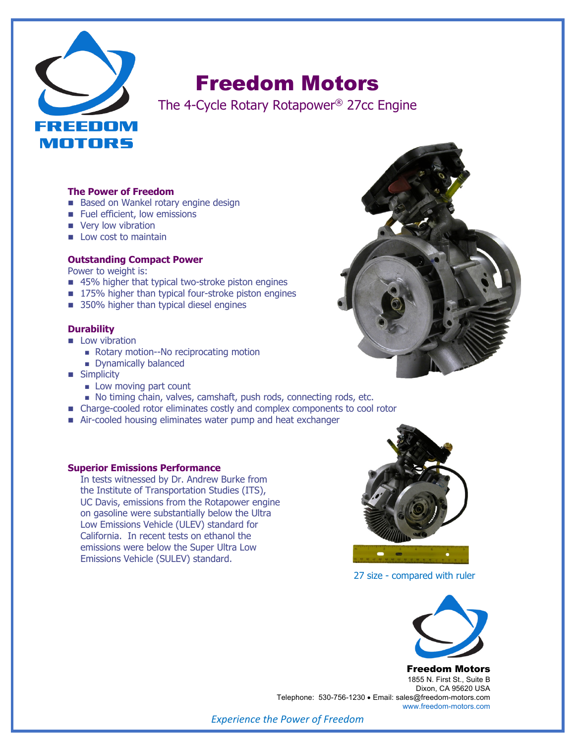

# Freedom Motors

The 4-Cycle Rotary Rotapower® 27cc Engine

#### **The Power of Freedom**

- Based on Wankel rotary engine design
- Fuel efficient, low emissions
- very low vibration
- $\blacksquare$  Low cost to maintain

## **Outstanding Compact Power**

Power to weight is:

- 45% higher that typical two-stroke piston engines
- 175% higher than typical four-stroke piston engines
- 350% higher than typical diesel engines

#### **Durability**

- **n** Low vibration
	- Rotary motion--No reciprocating motion
	- Dynamically balanced
- **n** Simplicity
	- **n** Low moving part count
	- <sup>n</sup> No timing chain, valves, camshaft, push rods, connecting rods, etc.
- Charge-cooled rotor eliminates costly and complex components to cool rotor
- Air-cooled housing eliminates water pump and heat exchanger

#### **Superior Emissions Performance**

In tests witnessed by Dr. Andrew Burke from the Institute of Transportation Studies (ITS), UC Davis, emissions from the Rotapower engine on gasoline were substantially below the Ultra Low Emissions Vehicle (ULEV) standard for California. In recent tests on ethanol the emissions were below the Super Ultra Low Emissions Vehicle (SULEV) standard.



27 size - compared with ruler



Freedom Motors 1855 N. First St., Suite B Dixon, CA 95620 USA Telephone: 530-756-1230 • Email: sales@freedom-motors.com www.freedom-motors.com

*Experience the Power of Freedom*